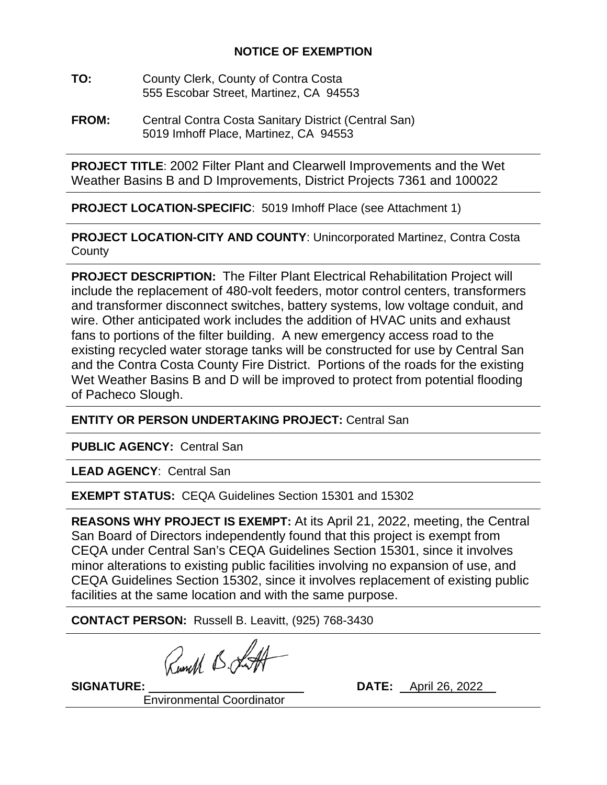## **NOTICE OF EXEMPTION**

- **TO:** County Clerk, County of Contra Costa 555 Escobar Street, Martinez, CA 94553
- **FROM:** Central Contra Costa Sanitary District (Central San) 5019 Imhoff Place, Martinez, CA 94553

**PROJECT TITLE**: 2002 Filter Plant and Clearwell Improvements and the Wet Weather Basins B and D Improvements, District Projects 7361 and 100022

**PROJECT LOCATION-SPECIFIC**: 5019 Imhoff Place (see Attachment 1)

**PROJECT LOCATION-CITY AND COUNTY**: Unincorporated Martinez, Contra Costa **County** 

**PROJECT DESCRIPTION:** The Filter Plant Electrical Rehabilitation Project will include the replacement of 480-volt feeders, motor control centers, transformers and transformer disconnect switches, battery systems, low voltage conduit, and wire. Other anticipated work includes the addition of HVAC units and exhaust fans to portions of the filter building. A new emergency access road to the existing recycled water storage tanks will be constructed for use by Central San and the Contra Costa County Fire District. Portions of the roads for the existing Wet Weather Basins B and D will be improved to protect from potential flooding of Pacheco Slough.

**ENTITY OR PERSON UNDERTAKING PROJECT:** Central San

**PUBLIC AGENCY:** Central San

**LEAD AGENCY**: Central San

**EXEMPT STATUS: CEQA Guidelines Section 15301 and 15302** 

**REASONS WHY PROJECT IS EXEMPT:** At its April 21, 2022, meeting, the Central San Board of Directors independently found that this project is exempt from CEQA under Central San's CEQA Guidelines Section 15301, since it involves minor alterations to existing public facilities involving no expansion of use, and CEQA Guidelines Section 15302, since it involves replacement of existing public facilities at the same location and with the same purpose.

**CONTACT PERSON:** Russell B. Leavitt, (925) 768-3430

Runell B. J.

**SIGNATURE:** \_\_\_ \_ **DATE:** April 26, 2022

Environmental Coordinator